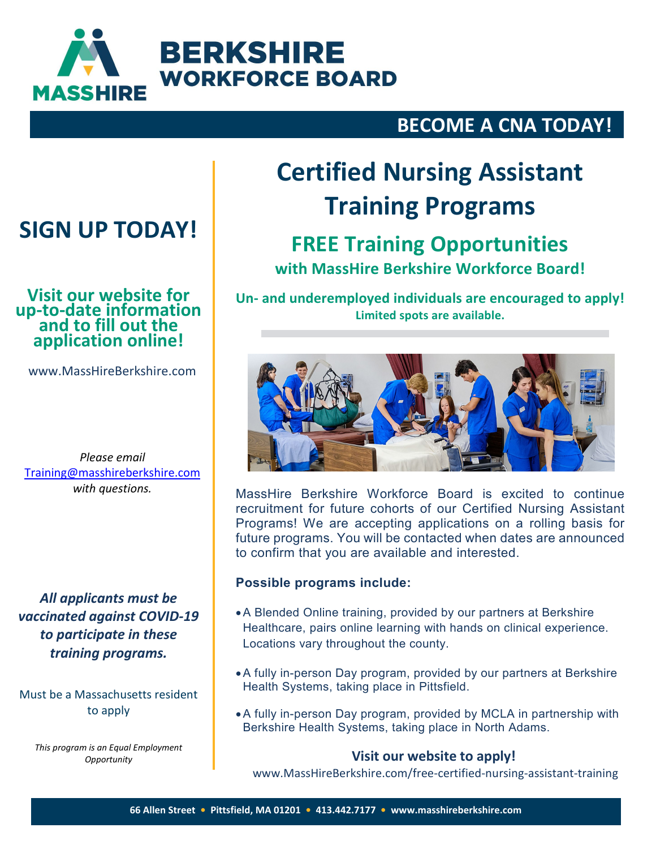

### **BECOME A CNA TODAY!**

## **SIGN UP TODAY!**

### **Visit our website for up-to-date information and to fill out the application online!**

www.MassHireBerkshire.com

*Please email* [Training@masshireberkshire.com](mailto:Training@masshireberkshire.com) *with questions.*

*All applicants must be vaccinated against COVID-19 to participate in these training programs.*

Must be a Massachusetts resident to apply

*This program is an Equal Employment Opportunity*

# **Certified Nursing Assistant Training Programs**

### **FREE Training Opportunities**

**with MassHire Berkshire Workforce Board!**

**Un- and underemployed individuals are encouraged to apply! Limited spots are available.**



MassHire Berkshire Workforce Board is excited to continue recruitment for future cohorts of our Certified Nursing Assistant Programs! We are accepting applications on a rolling basis for future programs. You will be contacted when dates are announced to confirm that you are available and interested.

#### **Possible programs include:**

- •A Blended Online training, provided by our partners at Berkshire Healthcare, pairs online learning with hands on clinical experience. Locations vary throughout the county.
- •A fully in-person Day program, provided by our partners at Berkshire Health Systems, taking place in Pittsfield.
- •A fully in-person Day program, provided by MCLA in partnership with Berkshire Health Systems, taking place in North Adams.

#### **Visit our website to apply!**

www.MassHireBerkshire.com/free-certified-nursing-assistant-training